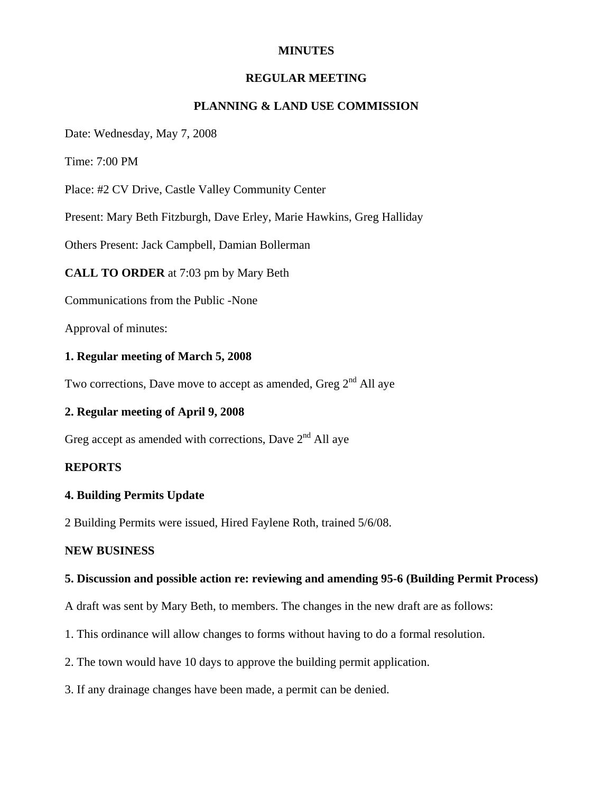## **MINUTES**

### **REGULAR MEETING**

## **PLANNING & LAND USE COMMISSION**

Date: Wednesday, May 7, 2008

Time: 7:00 PM

Place: #2 CV Drive, Castle Valley Community Center

Present: Mary Beth Fitzburgh, Dave Erley, Marie Hawkins, Greg Halliday

Others Present: Jack Campbell, Damian Bollerman

**CALL TO ORDER** at 7:03 pm by Mary Beth

Communications from the Public -None

Approval of minutes:

#### **1. Regular meeting of March 5, 2008**

Two corrections, Dave move to accept as amended, Greg  $2<sup>nd</sup>$  All aye

## **2. Regular meeting of April 9, 2008**

Greg accept as amended with corrections, Dave  $2<sup>nd</sup>$  All aye

## **REPORTS**

# **4. Building Permits Update**

2 Building Permits were issued, Hired Faylene Roth, trained 5/6/08.

#### **NEW BUSINESS**

#### **5. Discussion and possible action re: reviewing and amending 95-6 (Building Permit Process)**

A draft was sent by Mary Beth, to members. The changes in the new draft are as follows:

- 1. This ordinance will allow changes to forms without having to do a formal resolution.
- 2. The town would have 10 days to approve the building permit application.
- 3. If any drainage changes have been made, a permit can be denied.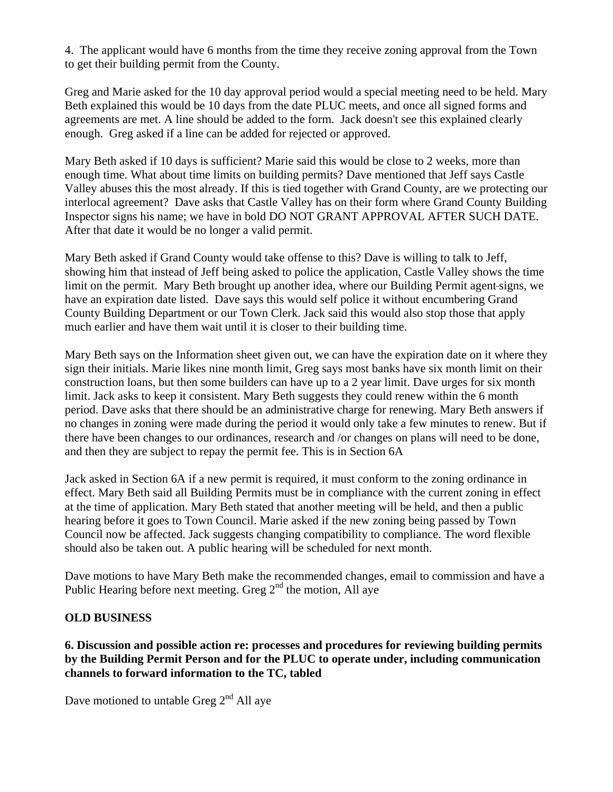4. The applicant would have 6 months from the time they receive zoning approval from the Town to get their building permit from the County.

Greg and Marie asked for the 10 day approval period would a special meeting need to be held. Mary Beth explained this would be 10 days from the date PLUC meets, and once all signed forms and agreements are met. A line should be added to the form. Jack doesn't see this explained clearly enough. Greg asked if a line can be added for rejected or approved.

Mary Beth asked if 10 days is sufficient? Marie said this would be close to 2 weeks, more than enough time. What about time limits on building permits? Dave mentioned that Jeff says Castle Valley abuses this the most already. If this is tied together with Grand County, are we protecting our interlocal agreement? Dave asks that Castle Valley has on their form where Grand County Building Inspector signs his name; we have in bold DO NOT GRANT APPROVAL AFTER SUCH DATE. After that date it would be no longer a valid permit.

Mary Beth asked if Grand County would take offense to this? Dave is willing to talk to Jeff, showing him that instead of Jeff being asked to police the application, Castle Valley shows the time limit on the permit. Mary Beth brought up another idea, where our Building Permit agent signs, we have an expiration date listed. Dave says this would self police it without encumbering Grand County Building Department or our Town Clerk. Jack said this would also stop those that apply much earlier and have them wait until it is closer to their building time.

Mary Beth says on the Information sheet given out, we can have the expiration date on it where they sign their initials. Marie likes nine month limit, Greg says most banks have six month limit on their construction loans, but then some builders can have up to a 2 year limit. Dave urges for six month limit. Jack asks to keep it consistent. Mary Beth suggests they could renew within the 6 month period. Dave asks that there should be an administrative charge for renewing. Mary Beth answers if no changes in zoning were made during the period it would only take a few minutes to renew. But if there have been changes to our ordinances, research and /or changes on plans will need to be done, and then they are subject to repay the permit fee. This is in Section 6A

Jack asked in Section 6A if a new permit is required, it must conform to the zoning ordinance in effect. Mary Beth said all Building Permits must be in compliance with the current zoning in effect at the time of application. Mary Beth stated that another meeting will be held, and then a public hearing before it goes to Town Council. Marie asked if the new zoning being passed by Town Council now be affected. Jack suggests changing compatibility to compliance. The word flexible should also be taken out. A public hearing will be scheduled for next month.

Dave motions to have Mary Beth make the recommended changes, email to commission and have a Public Hearing before next meeting. Greg  $2<sup>nd</sup>$  the motion, All aye

# **OLD BUSINESS**

**6. Discussion and possible action re: processes and procedures for reviewing building permits by the Building Permit Person and for the PLUC to operate under, including communication channels to forward information to the TC, tabled** 

Dave motioned to untable Greg  $2<sup>nd</sup>$  All aye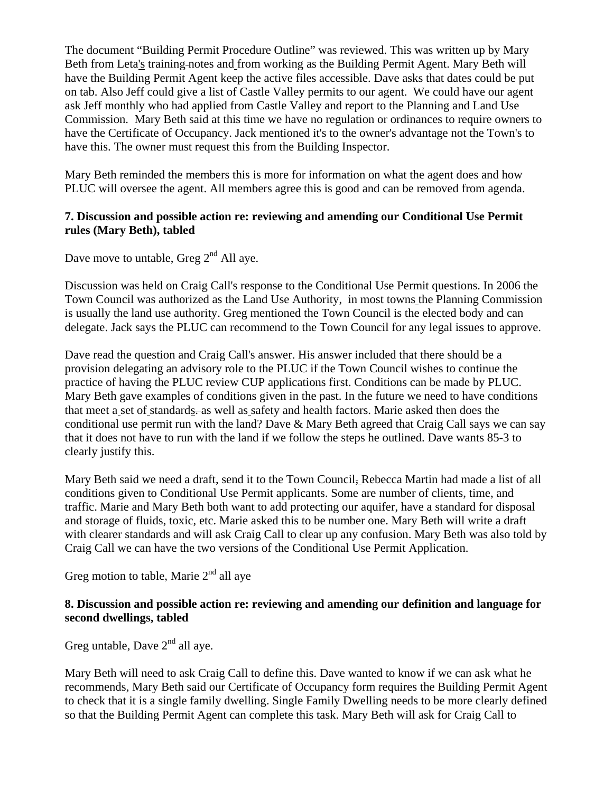The document "Building Permit Procedure Outline" was reviewed. This was written up by Mary Beth from Leta's training notes and from working as the Building Permit Agent. Mary Beth will have the Building Permit Agent keep the active files accessible. Dave asks that dates could be put on tab. Also Jeff could give a list of Castle Valley permits to our agent. We could have our agent ask Jeff monthly who had applied from Castle Valley and report to the Planning and Land Use Commission. Mary Beth said at this time we have no regulation or ordinances to require owners to have the Certificate of Occupancy. Jack mentioned it's to the owner's advantage not the Town's to have this. The owner must request this from the Building Inspector.

Mary Beth reminded the members this is more for information on what the agent does and how PLUC will oversee the agent. All members agree this is good and can be removed from agenda.

## **7. Discussion and possible action re: reviewing and amending our Conditional Use Permit rules (Mary Beth), tabled**

Dave move to untable, Greg  $2<sup>nd</sup>$  All aye.

Discussion was held on Craig Call's response to the Conditional Use Permit questions. In 2006 the Town Council was authorized as the Land Use Authority, in most towns the Planning Commission is usually the land use authority. Greg mentioned the Town Council is the elected body and can delegate. Jack says the PLUC can recommend to the Town Council for any legal issues to approve.

Dave read the question and Craig Call's answer. His answer included that there should be a provision delegating an advisory role to the PLUC if the Town Council wishes to continue the practice of having the PLUC review CUP applications first. Conditions can be made by PLUC. Mary Beth gave examples of conditions given in the past. In the future we need to have conditions that meet a set of standards. as well as safety and health factors. Marie asked then does the conditional use permit run with the land? Dave & Mary Beth agreed that Craig Call says we can say that it does not have to run with the land if we follow the steps he outlined. Dave wants 85-3 to clearly justify this.

Mary Beth said we need a draft, send it to the Town Council, Rebecca Martin had made a list of all conditions given to Conditional Use Permit applicants. Some are number of clients, time, and traffic. Marie and Mary Beth both want to add protecting our aquifer, have a standard for disposal and storage of fluids, toxic, etc. Marie asked this to be number one. Mary Beth will write a draft with clearer standards and will ask Craig Call to clear up any confusion. Mary Beth was also told by Craig Call we can have the two versions of the Conditional Use Permit Application.

Greg motion to table, Marie  $2<sup>nd</sup>$  all aye

## **8. Discussion and possible action re: reviewing and amending our definition and language for second dwellings, tabled**

Greg untable, Dave  $2<sup>nd</sup>$  all aye.

Mary Beth will need to ask Craig Call to define this. Dave wanted to know if we can ask what he recommends, Mary Beth said our Certificate of Occupancy form requires the Building Permit Agent to check that it is a single family dwelling. Single Family Dwelling needs to be more clearly defined so that the Building Permit Agent can complete this task. Mary Beth will ask for Craig Call to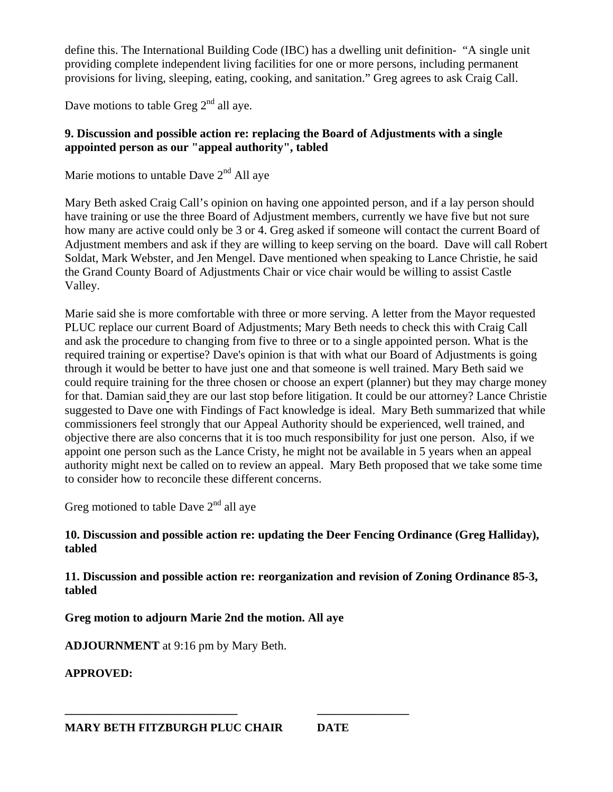define this. The International Building Code (IBC) has a dwelling unit definition- "A single unit providing complete independent living facilities for one or more persons, including permanent provisions for living, sleeping, eating, cooking, and sanitation." Greg agrees to ask Craig Call.

Dave motions to table Greg  $2<sup>nd</sup>$  all ave.

# **9. Discussion and possible action re: replacing the Board of Adjustments with a single appointed person as our "appeal authority", tabled**

Marie motions to untable Dave  $2<sup>nd</sup>$  All aye

Mary Beth asked Craig Call's opinion on having one appointed person, and if a lay person should have training or use the three Board of Adjustment members, currently we have five but not sure how many are active could only be 3 or 4. Greg asked if someone will contact the current Board of Adjustment members and ask if they are willing to keep serving on the board. Dave will call Robert Soldat, Mark Webster, and Jen Mengel. Dave mentioned when speaking to Lance Christie, he said the Grand County Board of Adjustments Chair or vice chair would be willing to assist Castle Valley.

Marie said she is more comfortable with three or more serving. A letter from the Mayor requested PLUC replace our current Board of Adjustments; Mary Beth needs to check this with Craig Call and ask the procedure to changing from five to three or to a single appointed person. What is the required training or expertise? Dave's opinion is that with what our Board of Adjustments is going through it would be better to have just one and that someone is well trained. Mary Beth said we could require training for the three chosen or choose an expert (planner) but they may charge money for that. Damian said they are our last stop before litigation. It could be our attorney? Lance Christie suggested to Dave one with Findings of Fact knowledge is ideal. Mary Beth summarized that while commissioners feel strongly that our Appeal Authority should be experienced, well trained, and objective there are also concerns that it is too much responsibility for just one person. Also, if we appoint one person such as the Lance Cristy, he might not be available in 5 years when an appeal authority might next be called on to review an appeal. Mary Beth proposed that we take some time to consider how to reconcile these different concerns.

Greg motioned to table Dave  $2<sup>nd</sup>$  all ave

# **10. Discussion and possible action re: updating the Deer Fencing Ordinance (Greg Halliday), tabled**

**11. Discussion and possible action re: reorganization and revision of Zoning Ordinance 85-3, tabled** 

**Greg motion to adjourn Marie 2nd the motion. All aye** 

**ADJOURNMENT** at 9:16 pm by Mary Beth.

**APPROVED:** 

**\_\_\_\_\_\_\_\_\_\_\_\_\_\_\_\_\_\_\_\_\_\_\_\_\_\_\_\_\_\_ \_\_\_\_\_\_\_\_\_\_\_\_\_\_\_\_**